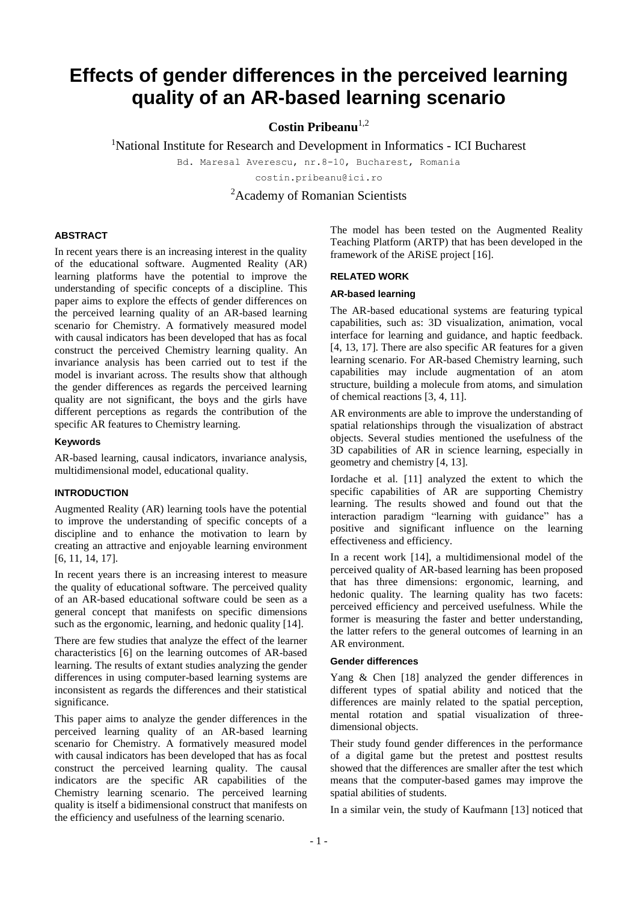# **Effects of gender differences in the perceived learning quality of an AR-based learning scenario**

**Costin Pribeanu**1,2

<sup>1</sup>National Institute for Research and Development in Informatics - ICI Bucharest

Bd. Maresal Averescu, nr.8-10, Bucharest, Romania

costin.pribeanu@ici.ro

<sup>2</sup>Academy of Romanian Scientists

## **ABSTRACT**

In recent years there is an increasing interest in the quality of the educational software. Augmented Reality (AR) learning platforms have the potential to improve the understanding of specific concepts of a discipline. This paper aims to explore the effects of gender differences on the perceived learning quality of an AR-based learning scenario for Chemistry. A formatively measured model with causal indicators has been developed that has as focal construct the perceived Chemistry learning quality. An invariance analysis has been carried out to test if the model is invariant across. The results show that although the gender differences as regards the perceived learning quality are not significant, the boys and the girls have different perceptions as regards the contribution of the specific AR features to Chemistry learning.

## **Keywords**

AR-based learning, causal indicators, invariance analysis, multidimensional model, educational quality.

# **INTRODUCTION**

Augmented Reality (AR) learning tools have the potential to improve the understanding of specific concepts of a discipline and to enhance the motivation to learn by creating an attractive and enjoyable learning environment [6, 11, 14, 17].

In recent years there is an increasing interest to measure the quality of educational software. The perceived quality of an AR-based educational software could be seen as a general concept that manifests on specific dimensions such as the ergonomic, learning, and hedonic quality [14].

There are few studies that analyze the effect of the learner characteristics [6] on the learning outcomes of AR-based learning. The results of extant studies analyzing the gender differences in using computer-based learning systems are inconsistent as regards the differences and their statistical significance.

This paper aims to analyze the gender differences in the perceived learning quality of an AR-based learning scenario for Chemistry. A formatively measured model with causal indicators has been developed that has as focal construct the perceived learning quality. The causal indicators are the specific AR capabilities of the Chemistry learning scenario. The perceived learning quality is itself a bidimensional construct that manifests on the efficiency and usefulness of the learning scenario.

The model has been tested on the Augmented Reality Teaching Platform (ARTP) that has been developed in the framework of the ARiSE project [16].

## **RELATED WORK**

## **AR-based learning**

The AR-based educational systems are featuring typical capabilities, such as: 3D visualization, animation, vocal interface for learning and guidance, and haptic feedback. [4, 13, 17]. There are also specific AR features for a given learning scenario. For AR-based Chemistry learning, such capabilities may include augmentation of an atom structure, building a molecule from atoms, and simulation of chemical reactions [3, 4, 11].

AR environments are able to improve the understanding of spatial relationships through the visualization of abstract objects. Several studies mentioned the usefulness of the 3D capabilities of AR in science learning, especially in geometry and chemistry [4, 13].

Iordache et al. [11] analyzed the extent to which the specific capabilities of AR are supporting Chemistry learning. The results showed and found out that the interaction paradigm "learning with guidance" has a positive and significant influence on the learning effectiveness and efficiency.

In a recent work [14], a multidimensional model of the perceived quality of AR-based learning has been proposed that has three dimensions: ergonomic, learning, and hedonic quality. The learning quality has two facets: perceived efficiency and perceived usefulness. While the former is measuring the faster and better understanding, the latter refers to the general outcomes of learning in an AR environment.

## **Gender differences**

Yang & Chen [18] analyzed the gender differences in different types of spatial ability and noticed that the differences are mainly related to the spatial perception, mental rotation and spatial visualization of threedimensional objects.

Their study found gender differences in the performance of a digital game but the pretest and posttest results showed that the differences are smaller after the test which means that the computer-based games may improve the spatial abilities of students.

In a similar vein, the study of Kaufmann [13] noticed that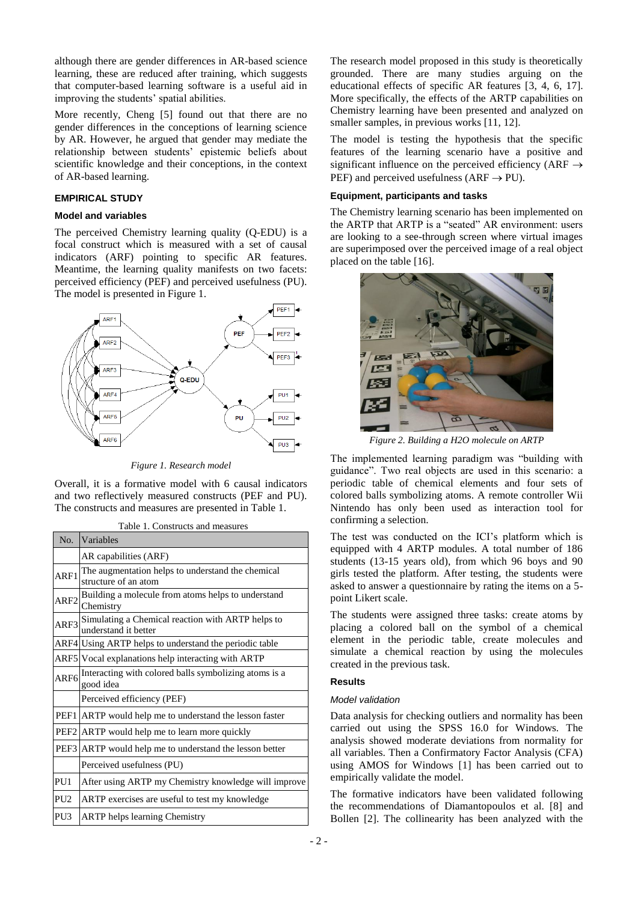although there are gender differences in AR-based science learning, these are reduced after training, which suggests that computer-based learning software is a useful aid in improving the students' spatial abilities.

More recently, Cheng [5] found out that there are no gender differences in the conceptions of learning science by AR. However, he argued that gender may mediate the relationship between students' epistemic beliefs about scientific knowledge and their conceptions, in the context of AR-based learning.

## **EMPIRICAL STUDY**

#### **Model and variables**

The perceived Chemistry learning quality (Q-EDU) is a focal construct which is measured with a set of causal indicators (ARF) pointing to specific AR features. Meantime, the learning quality manifests on two facets: perceived efficiency (PEF) and perceived usefulness (PU). The model is presented in Figure 1.



*Figure 1. Research model*

Overall, it is a formative model with 6 causal indicators and two reflectively measured constructs (PEF and PU). The constructs and measures are presented in Table 1.

| Table 1. Constructs and measures |  |
|----------------------------------|--|
|----------------------------------|--|

| N <sub>0</sub>   | Variables                                                                 |
|------------------|---------------------------------------------------------------------------|
|                  | AR capabilities (ARF)                                                     |
| ARF1             | The augmentation helps to understand the chemical<br>structure of an atom |
| ARF <sub>2</sub> | Building a molecule from atoms helps to understand<br>Chemistry           |
| ARF3             | Simulating a Chemical reaction with ARTP helps to<br>understand it better |
|                  | ARF4 Using ARTP helps to understand the periodic table                    |
|                  | ARF5 Vocal explanations help interacting with ARTP                        |
| ARF <sub>6</sub> | Interacting with colored balls symbolizing atoms is a<br>good idea        |
|                  | Perceived efficiency (PEF)                                                |
|                  | PEF1 ARTP would help me to understand the lesson faster                   |
|                  | PEF2 ARTP would help me to learn more quickly                             |
|                  | PEF3 ARTP would help me to understand the lesson better                   |
|                  | Perceived usefulness (PU)                                                 |
| PU1              | After using ARTP my Chemistry knowledge will improve                      |
| PU <sub>2</sub>  | ARTP exercises are useful to test my knowledge                            |
| PU <sub>3</sub>  | <b>ARTP</b> helps learning Chemistry                                      |

The research model proposed in this study is theoretically grounded. There are many studies arguing on the educational effects of specific AR features [3, 4, 6, 17]. More specifically, the effects of the ARTP capabilities on Chemistry learning have been presented and analyzed on smaller samples, in previous works [11, 12].

The model is testing the hypothesis that the specific features of the learning scenario have a positive and significant influence on the perceived efficiency (ARF  $\rightarrow$ PEF) and perceived usefulness ( $ARF \rightarrow PU$ ).

## **Equipment, participants and tasks**

The Chemistry learning scenario has been implemented on the ARTP that ARTP is a "seated" AR environment: users are looking to a see-through screen where virtual images are superimposed over the perceived image of a real object placed on the table [16].



*Figure 2. Building a H2O molecule on ARTP*

The implemented learning paradigm was "building with guidance". Two real objects are used in this scenario: a periodic table of chemical elements and four sets of colored balls symbolizing atoms. A remote controller Wii Nintendo has only been used as interaction tool for confirming a selection.

The test was conducted on the ICI's platform which is equipped with 4 ARTP modules. A total number of 186 students (13-15 years old), from which 96 boys and 90 girls tested the platform. After testing, the students were asked to answer a questionnaire by rating the items on a 5 point Likert scale.

The students were assigned three tasks: create atoms by placing a colored ball on the symbol of a chemical element in the periodic table, create molecules and simulate a chemical reaction by using the molecules created in the previous task.

# **Results**

#### *Model validation*

Data analysis for checking outliers and normality has been carried out using the SPSS 16.0 for Windows. The analysis showed moderate deviations from normality for all variables. Then a Confirmatory Factor Analysis (CFA) using AMOS for Windows [1] has been carried out to empirically validate the model.

The formative indicators have been validated following the recommendations of Diamantopoulos et al. [8] and Bollen [2]. The collinearity has been analyzed with the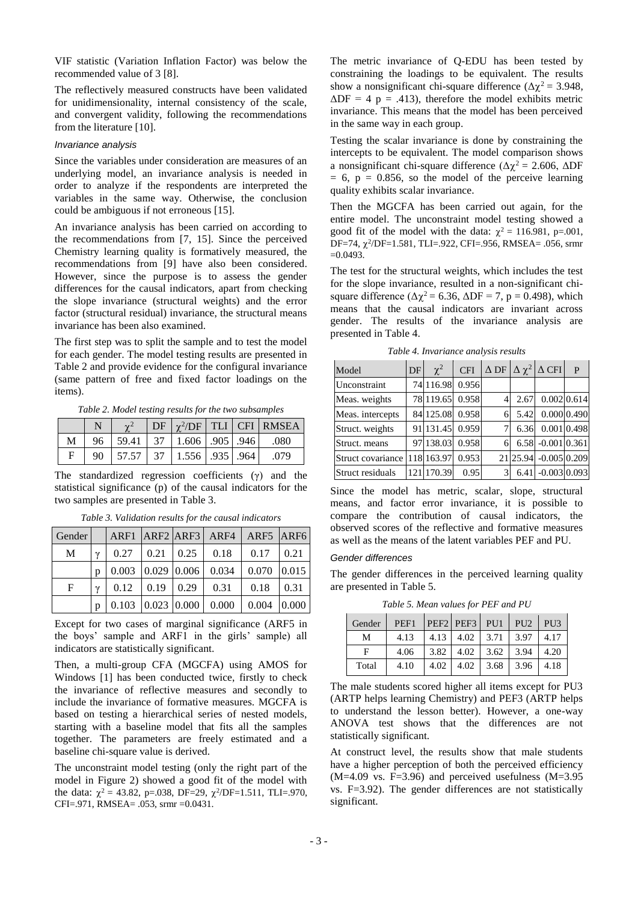VIF statistic (Variation Inflation Factor) was below the recommended value of 3 [8].

The reflectively measured constructs have been validated for unidimensionality, internal consistency of the scale, and convergent validity, following the recommendations from the literature [10].

#### *Invariance analysis*

Since the variables under consideration are measures of an underlying model, an invariance analysis is needed in order to analyze if the respondents are interpreted the variables in the same way. Otherwise, the conclusion could be ambiguous if not erroneous [15].

An invariance analysis has been carried on according to the recommendations from [7, 15]. Since the perceived Chemistry learning quality is formatively measured, the recommendations from [9] have also been considered. However, since the purpose is to assess the gender differences for the causal indicators, apart from checking the slope invariance (structural weights) and the error factor (structural residual) invariance, the structural means invariance has been also examined.

The first step was to split the sample and to test the model for each gender. The model testing results are presented in Table 2 and provide evidence for the configural invariance (same pattern of free and fixed factor loadings on the items).

*Table 2. Model testing results for the two subsamples*

|   |                                                                          |  |  | $\vert$ DF $\vert \gamma^2$ /DF $\vert$ TLI $\vert$ CFI RMSEA |
|---|--------------------------------------------------------------------------|--|--|---------------------------------------------------------------|
| М | $\begin{bmatrix} 96 & 59.41 & 37 & 1.606 & 905 & 946 \end{bmatrix}$ .080 |  |  |                                                               |
|   | 90   57.57   37   1.556   935   964                                      |  |  | .079                                                          |

The standardized regression coefficients (γ) and the statistical significance (p) of the causal indicators for the two samples are presented in Table 3.

*Table 3. Validation results for the causal indicators*

| <b>Gender</b> |             |       |             |               | ARF1 ARF2 ARF3 ARF4 | ARF5 ARF6 |       |
|---------------|-------------|-------|-------------|---------------|---------------------|-----------|-------|
| M             | $\mathbf v$ | 0.27  | 0.21        | 0.25          | 0.18                | 0.17      | 0.21  |
|               | n           | 0.003 |             | $0.029$ 0.006 | 0.034               | 0.070     | 0.015 |
| $\mathbf{F}$  | $\gamma$    | 0.12  | 0.19        | 0.29          | 0.31                | 0.18      | 0.31  |
|               | n           | 0.103 | 0.023 0.000 |               | 0.000               | 0.004     | 0.000 |

Except for two cases of marginal significance (ARF5 in the boys' sample and ARF1 in the girls' sample) all indicators are statistically significant.

Then, a multi-group CFA (MGCFA) using AMOS for Windows [1] has been conducted twice, firstly to check the invariance of reflective measures and secondly to include the invariance of formative measures. MGCFA is based on testing a hierarchical series of nested models, starting with a baseline model that fits all the samples together. The parameters are freely estimated and a baseline chi-square value is derived.

The unconstraint model testing (only the right part of the model in Figure 2) showed a good fit of the model with the data:  $\chi^2 = 43.82$ , p=.038, DF=29,  $\chi^2$ /DF=1.511, TLI=.970, CFI=.971, RMSEA= .053, srmr =0.0431.

The metric invariance of Q-EDU has been tested by constraining the loadings to be equivalent. The results show a nonsignificant chi-square difference ( $\Delta \chi^2 = 3.948$ ,  $\Delta DF = 4$  p = .413), therefore the model exhibits metric invariance. This means that the model has been perceived in the same way in each group.

Testing the scalar invariance is done by constraining the intercepts to be equivalent. The model comparison shows a nonsignificant chi-square difference ( $Δχ² = 2.606$ ,  $ΔDF$  $= 6$ ,  $p = 0.856$ , so the model of the perceive learning quality exhibits scalar invariance.

Then the MGCFA has been carried out again, for the entire model. The unconstraint model testing showed a good fit of the model with the data:  $\chi^2 = 116.981$ , p=.001, DF=74,  $\chi^2$ /DF=1.581, TLI=.922, CFI=.956, RMSEA= .056, srmr  $=0.0493$ .

The test for the structural weights, which includes the test for the slope invariance, resulted in a non-significant chisquare difference ( $\Delta \chi^2$  = 6.36,  $\Delta DF$  = 7, p = 0.498), which means that the causal indicators are invariant across gender. The results of the invariance analysis are presented in Table 4.

*Table 4. Invariance analysis results*

| Model             | DF | $\chi^2$   | <b>CFI</b> |    |      | $\Delta$ DF $\Delta \chi^2$ $\Delta$ CFI | P                |
|-------------------|----|------------|------------|----|------|------------------------------------------|------------------|
| Unconstraint      |    | 74 116.98  | 0.956      |    |      |                                          |                  |
| Meas. weights     |    | 78 119.65  | 0.958      | 4' | 2.67 |                                          | $0.002 \, 0.614$ |
| Meas. intercepts  |    | 84 125.08  | 0.958      | 6  | 5.42 |                                          | 0.000 0.490      |
| Struct. weights   |    | 91 131.45  | 0.959      | 7. | 6.36 |                                          | 0.001 0.498      |
| Struct. means     |    | 97 138.03  | 0.958      | 6  |      | 6.58 -0.001 0.361                        |                  |
| Struct covariance |    | 118 163.97 | 0.953      |    |      | 21 25.94 -0.005 0.209                    |                  |
| Struct residuals  |    | 121 170.39 | 0.95       | 3  | 6.41 | $-0.003$ 0.093                           |                  |

Since the model has metric, scalar, slope, structural means, and factor error invariance, it is possible to compare the contribution of causal indicators, the observed scores of the reflective and formative measures as well as the means of the latent variables PEF and PU.

#### *Gender differences*

The gender differences in the perceived learning quality are presented in Table 5.

*Table 5. Mean values for PEF and PU*

| Gender | PEF1 |  | PEF2 PEF3 PU1 PU2 PU3                                    |  |
|--------|------|--|----------------------------------------------------------|--|
| М      | 4.13 |  | 4.13   4.02   3.71   3.97   4.17                         |  |
| E      | 4.06 |  | $\vert 3.82 \vert 4.02 \vert 3.62 \vert 3.94 \vert 4.20$ |  |
| Total  | 4.10 |  | $4.02$   $4.02$   $3.68$   $3.96$   $4.18$               |  |

The male students scored higher all items except for PU3 (ARTP helps learning Chemistry) and PEF3 (ARTP helps to understand the lesson better). However, a one-way ANOVA test shows that the differences are not statistically significant.

At construct level, the results show that male students have a higher perception of both the perceived efficiency  $(M=4.09 \text{ vs. } F=3.96)$  and perceived usefulness  $(M=3.95$ vs. F=3.92). The gender differences are not statistically significant.